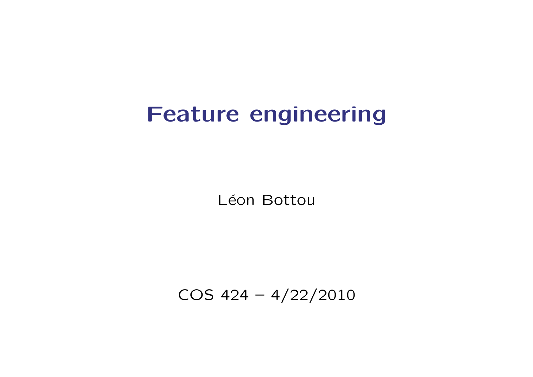# Feature engineering

Léon Bottou

COS 424 – 4/22/2010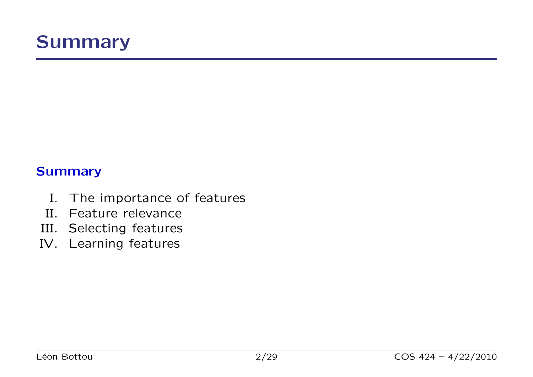

#### **Summary**

- I. The importance of features
- II. Feature relevance
- III. Selecting features
- IV. Learning features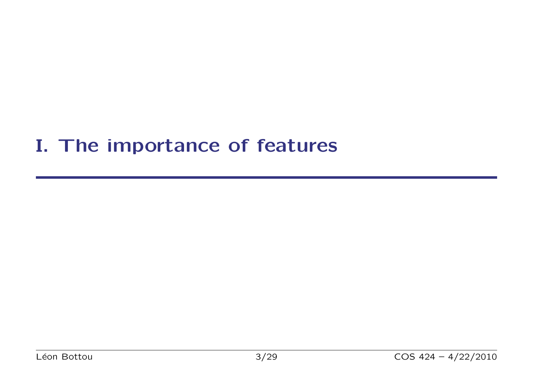### I. The importance of features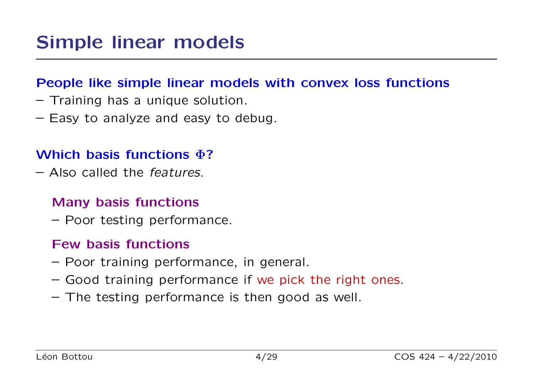#### People like simple linear models with convex loss functions

- Training has a unique solution.
- Easy to analyze and easy to debug.

#### Which basis functions  $\Phi$ ?

– Also called the features.

#### Many basis functions

– Poor testing performance.

#### Few basis functions

- Poor training performance, in general.
- Good training performance if we pick the right ones.
- The testing performance is then good as well.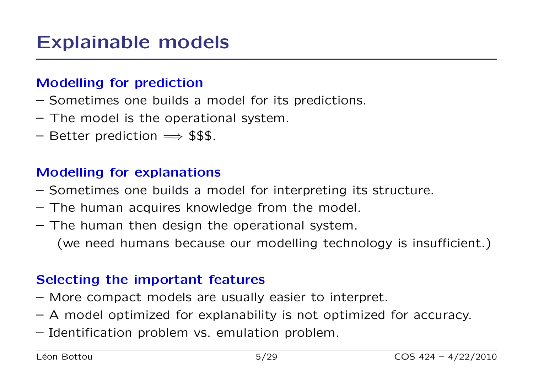### Explainable models

#### Modelling for prediction

- Sometimes one builds a model for its predictions.
- The model is the operational system.
- Better prediction  $\implies$  \$\$\$.

#### Modelling for explanations

- Sometimes one builds a model for interpreting its structure.
- The human acquires knowledge from the model.
- The human then design the operational system. (we need humans because our modelling technology is insufficient.)

#### Selecting the important features

- More compact models are usually easier to interpret.
- A model optimized for explanability is not optimized for accuracy.
- Identification problem vs. emulation problem.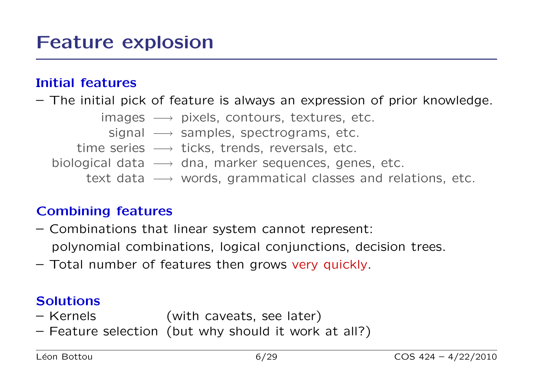#### Initial features

– The initial pick of feature is always an expression of prior knowledge.

- $images \longrightarrow pixels, contours, textures, etc.$ 
	- signal  $\longrightarrow$  samples, spectrograms, etc.
- time series  $\longrightarrow$  ticks, trends, reversals, etc.
- biological data  $\longrightarrow$  dna, marker sequences, genes, etc.
	- text data → words, grammatical classes and relations, etc.

#### Combining features

- Combinations that linear system cannot represent: polynomial combinations, logical conjunctions, decision trees.
- Total number of features then grows very quickly.

#### Solutions

- Kernels (with caveats, see later)
- Feature selection (but why should it work at all?)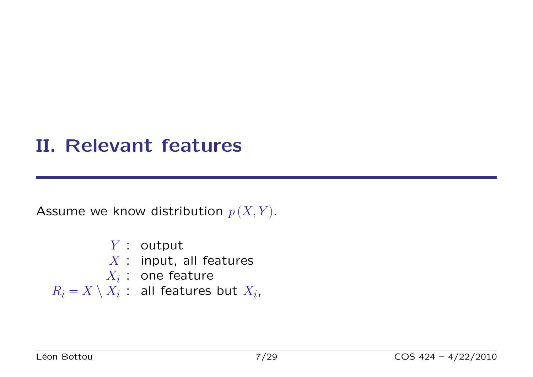### II. Relevant features

Assume we know distribution  $p(X, Y)$ .

- Y : output
- $X$  : input, all features
- $X_i$  : one feature

 $R_i = X \setminus X_i$ : all features but  $X_i$ ,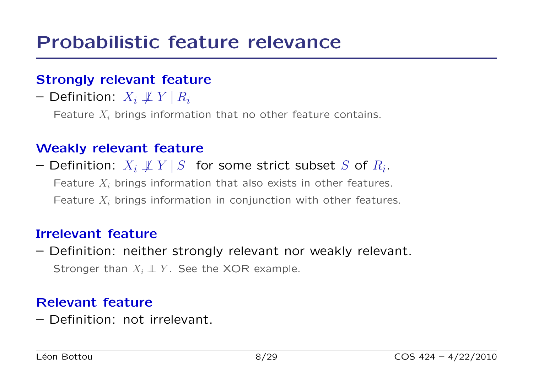#### Strongly relevant feature

– Definition:  $X_i \not\perp Y \mid R_i$ 

Feature  $X_i$  brings information that no other feature contains.

#### Weakly relevant feature

 $-$  Definition:  $X_i \not\!\perp\!\!\!\perp Y \mathbin{|} S$  for some strict subset  $S$  of  $R_i.$ Feature  $X_i$  brings information that also exists in other features. Feature  $X_i$  brings information in conjunction with other features.

#### Irrelevant feature

– Definition: neither strongly relevant nor weakly relevant. Stronger than  $X_i \perp\!\!\!\perp Y$ . See the XOR example.

#### Relevant feature

– Definition: not irrelevant.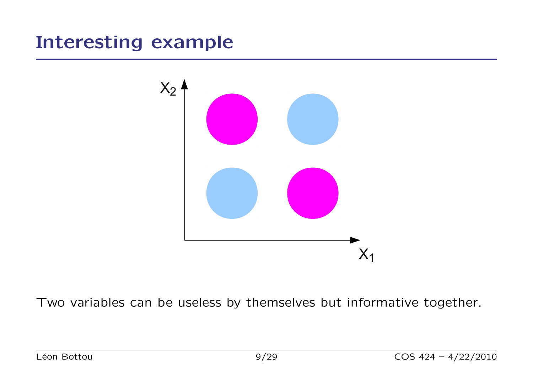### Interesting example



Two variables can be useless by themselves but informative together.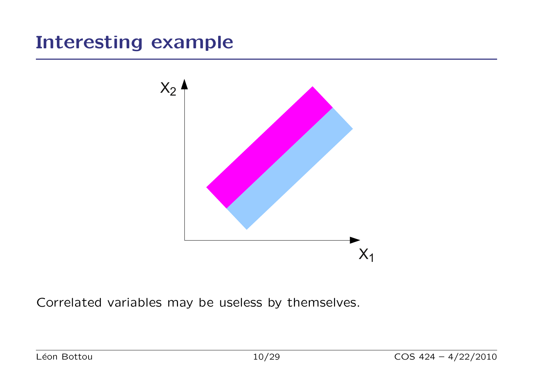### Interesting example



Correlated variables may be useless by themselves.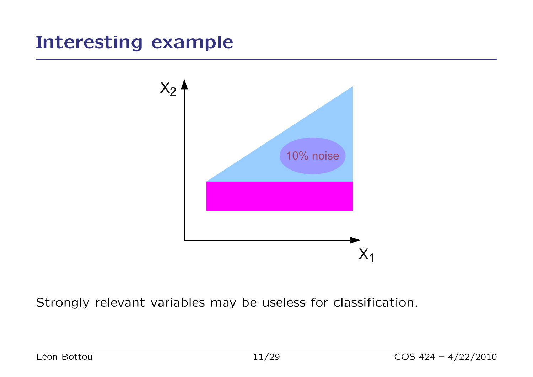### Interesting example



Strongly relevant variables may be useless for classification.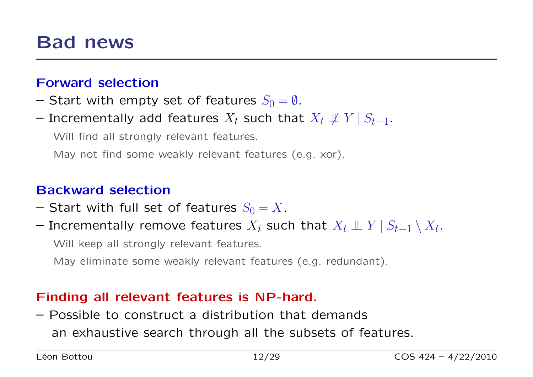### Bad news

#### Forward selection

- Start with empty set of features  $S_0 = \emptyset$ .
- $-$  Incrementally add features  $X_t$  such that  $X_t \not\!\perp\!\!\!\perp Y \mathbin| S_{t-1}.$

Will find all strongly relevant features.

May not find some weakly relevant features (e.g. xor).

#### Backward selection

- Start with full set of features  $S_0 = X$ .
- $-$  Incrementally remove features  $X_i$  such that  $X_t \perp\!\!\!\!\perp Y \mathbin{\mid} S_{t-1} \setminus X_t.$

Will keep all strongly relevant features.

May eliminate some weakly relevant features (e.g. redundant).

#### Finding all relevant features is NP-hard.

– Possible to construct a distribution that demands an exhaustive search through all the subsets of features.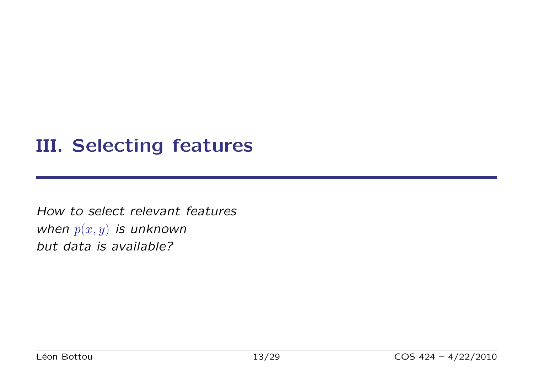### III. Selecting features

How to select relevant features when  $p(x, y)$  is unknown but data is available?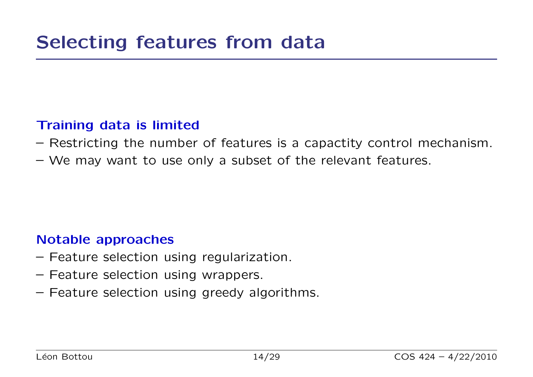#### Training data is limited

- Restricting the number of features is a capactity control mechanism.
- We may want to use only a subset of the relevant features.

#### Notable approaches

- Feature selection using regularization.
- Feature selection using wrappers.
- Feature selection using greedy algorithms.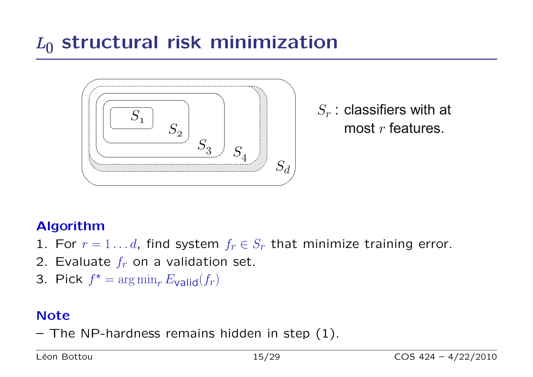# $L_0$  structural risk minimization



 $S_r$  : classifiers with at most  $r$  features.

#### Algorithm

- 1. For  $r = 1 \ldots d$ , find system  $f_r \in S_r$  that minimize training error.
- 2. Evaluate  $f_r$  on a validation set.
- 3. Pick  $f^* = \arg \min_r E_{\text{valid}}(f_r)$

#### **Note**

 $-$  The NP-hardness remains hidden in step  $(1)$ .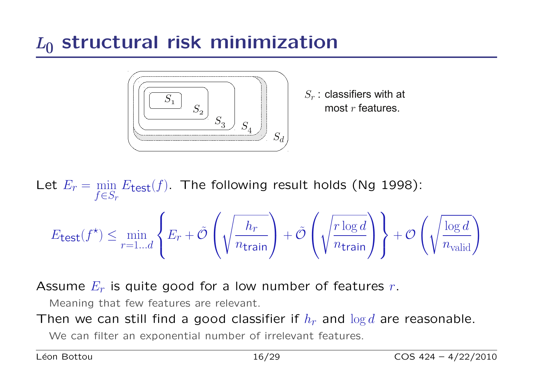# $L_0$  structural risk minimization



 $S_r$ : classifiers with at most  $r$  features.

Let  $E_r = \min_{r \in \mathcal{C}}$  $f \in S_r$  $E_{\text{test}}(f)$ . The following result holds (Ng 1998):  $E$ test $(f^{\star}) \leq \min$  $r = 1...d$  $\sqrt{ }$  $\int$  $\overline{\mathcal{L}}$  $E_r + \tilde{\mathcal{O}}$  $\sqrt{ }$  $\overline{ }$  $\sqrt{2}$  $h_{\pmb{r}}$  $n_{\text{train}}$  $\setminus$  $+ \tilde{\mathcal{O}}$  $\sqrt{ }$  $\mathbf{I}$  $\sqrt{2}$  $r\log d$  $n_{\text{train}}$  $\setminus$  $\overline{\phantom{a}}$  $\mathcal{L}$  $\overline{\mathcal{L}}$  $\int$  $+$   $\mathcal O$  $\left(\sqrt{\frac{\log d}{n_{\text{valid}}}}\right)$ 

Assume  $E_r$  is quite good for a low number of features r.

Meaning that few features are relevant.

Then we can still find a good classifier if  $h_r$  and  $\log d$  are reasonable.

We can filter an exponential number of irrelevant features.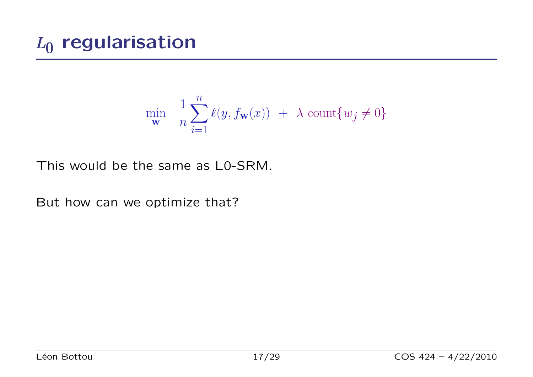$$
\min_{\mathbf{w}} \quad \frac{1}{n} \sum_{i=1}^{n} \ell(y, f_{\mathbf{w}}(x)) + \lambda \ \text{count}\{w_j \neq 0\}
$$

This would be the same as L0-SRM.

But how can we optimize that?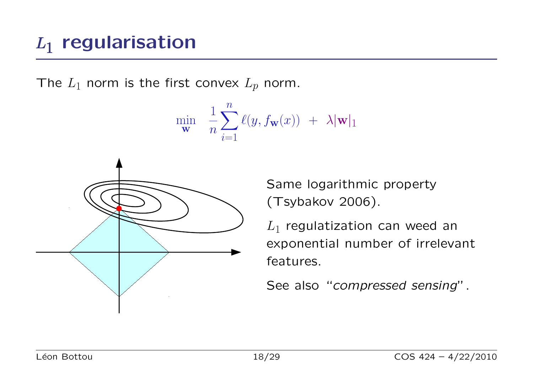# $L_1$  regularisation

The  $L_1$  norm is the first convex  $L_p$  norm.

$$
\min_{\mathbf{w}} \quad \frac{1}{n} \sum_{i=1}^n \ell(y, f_{\mathbf{w}}(x)) ~+~ \lambda |\mathbf{w}|_1
$$



Same logarithmic property (Tsybakov 2006).

 $L_1$  regulatization can weed an exponential number of irrelevant features.

See also "compressed sensing".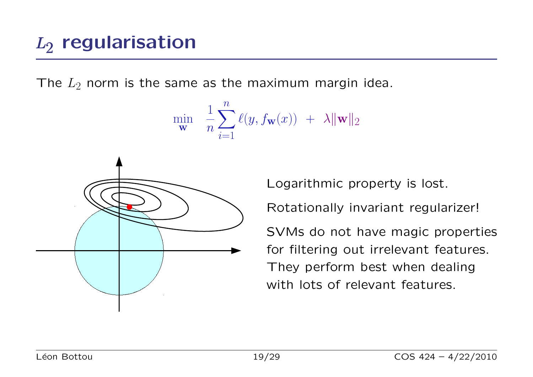The  $L_2$  norm is the same as the maximum margin idea.

$$
\min_{\mathbf{w}} \quad \frac{1}{n} \sum_{i=1}^{n} \ell(y, f_{\mathbf{w}}(x)) + \lambda \|\mathbf{w}\|_2
$$



Logarithmic property is lost.

Rotationally invariant regularizer!

SVMs do not have magic properties for filtering out irrelevant features. They perform best when dealing with lots of relevant features.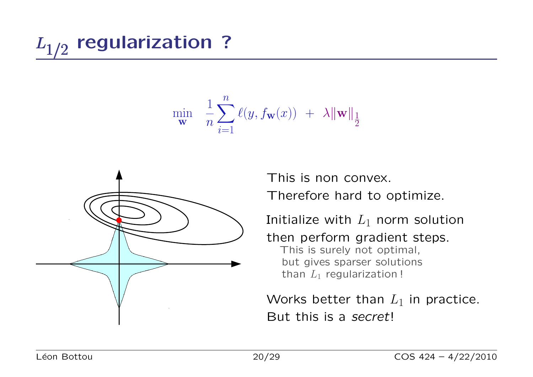$$
\min_{\mathbf{w}} \quad \frac{1}{n} \sum_{i=1}^n \ell(y, f_{\mathbf{w}}(x)) \ + \ \lambda \|\mathbf{w}\|_{\frac{1}{2}}
$$



This is non convex. Therefore hard to optimize.

Initialize with  $L_1$  norm solution

then perform gradient steps. This is surely not optimal, but gives sparser solutions than  $L_1$  regularization !

Works better than  $L_1$  in practice. But this is a secret!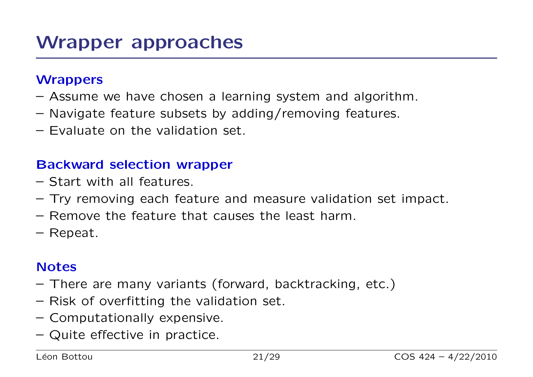#### **Wrappers**

- Assume we have chosen a learning system and algorithm.
- Navigate feature subsets by adding/removing features.
- Evaluate on the validation set.

#### Backward selection wrapper

- Start with all features.
- Try removing each feature and measure validation set impact.
- Remove the feature that causes the least harm.
- Repeat.

#### **Notes**

- There are many variants (forward, backtracking, etc.)
- Risk of overfitting the validation set.
- Computationally expensive.
- Quite effective in practice.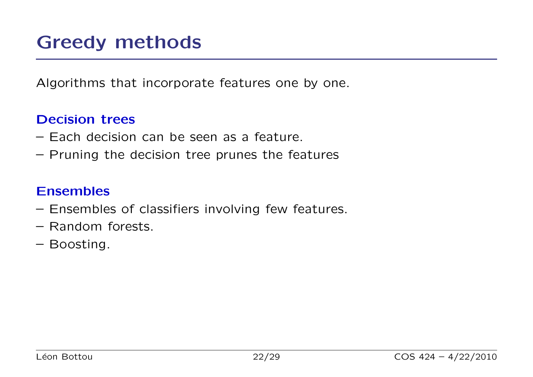Algorithms that incorporate features one by one.

#### Decision trees

- Each decision can be seen as a feature.
- Pruning the decision tree prunes the features

#### Ensembles

- Ensembles of classifiers involving few features.
- Random forests.
- Boosting.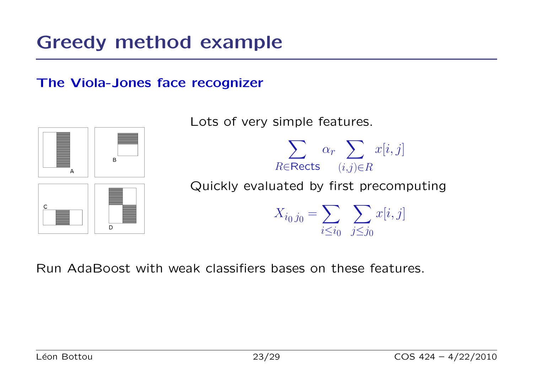### Greedy method example

#### The Viola-Jones face recognizer



Lots of very simple features.



D

Quickly evaluated by first precomputing

 $X_{i_0 j_0} = \sum$  $i\leq i_0$  $\sum$  $j\leq j_0$  $x[i,j]$ 

Run AdaBoost with weak classifiers bases on these features.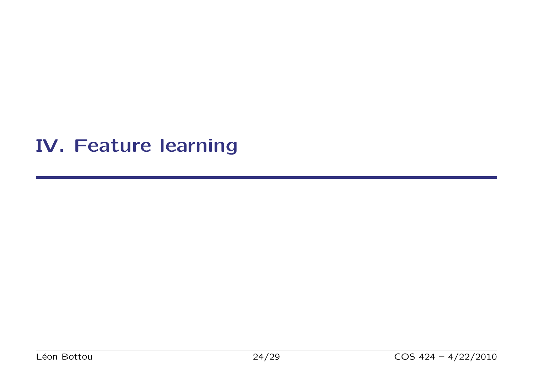### IV. Feature learning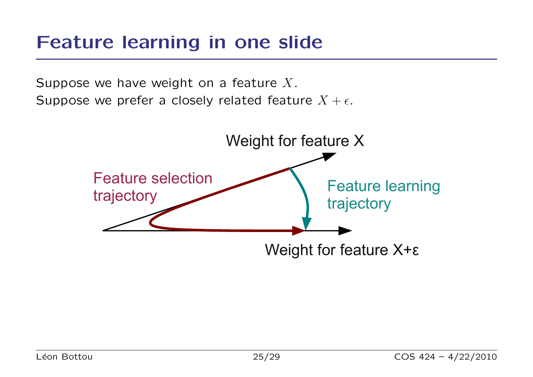### Feature learning in one slide

Suppose we have weight on a feature  $X$ . Suppose we prefer a closely related feature  $X + \epsilon$ .

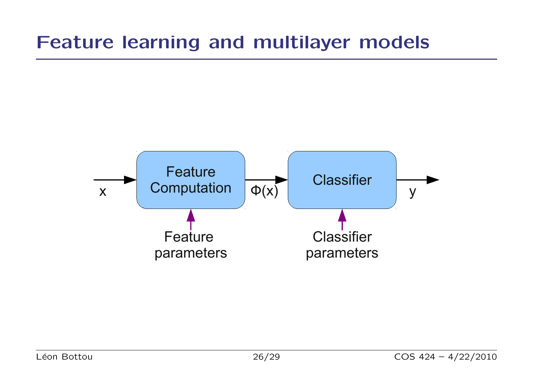### Feature learning and multilayer models

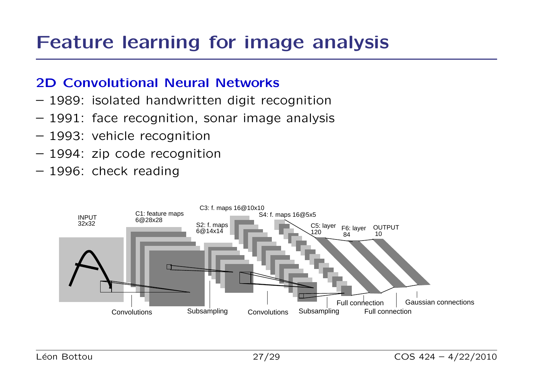### Feature learning for image analysis

#### 2D Convolutional Neural Networks

- 1989: isolated handwritten digit recognition
- 1991: face recognition, sonar image analysis
- 1993: vehicle recognition
- 1994: zip code recognition
- 1996: check reading

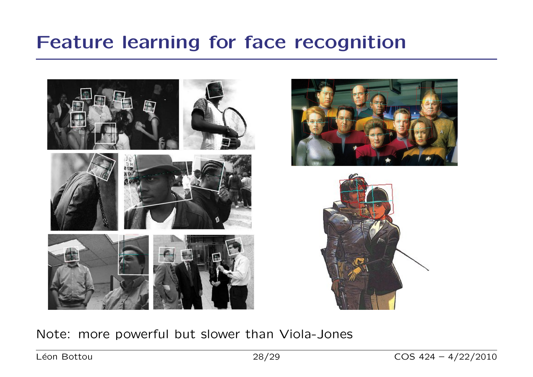### Feature learning for face recognition







Note: more powerful but slower than Viola-Jones